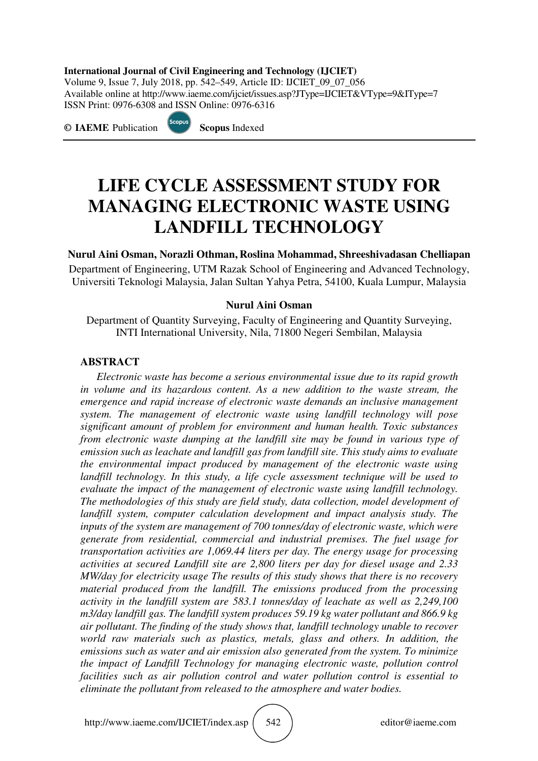#### **International Journal of Civil Engineering and Technology (IJCIET)**

Volume 9, Issue 7, July 2018, pp. 542–549, Article ID: IJCIET\_09\_07\_056 Available online at http://www.iaeme.com/ijciet/issues.asp?JType=IJCIET&VType=9&IType=7 ISSN Print: 0976-6308 and ISSN Online: 0976-6316

**© IAEME** Publication **Scopus** Indexed



# **LIFE CYCLE ASSESSMENT STUDY FOR MANAGING ELECTRONIC WASTE USING LANDFILL TECHNOLOGY**

**Nurul Aini Osman, Norazli Othman, Roslina Mohammad, Shreeshivadasan Chelliapan**  Department of Engineering, UTM Razak School of Engineering and Advanced Technology, Universiti Teknologi Malaysia, Jalan Sultan Yahya Petra, 54100, Kuala Lumpur, Malaysia

#### **Nurul Aini Osman**

Department of Quantity Surveying, Faculty of Engineering and Quantity Surveying, INTI International University, Nila, 71800 Negeri Sembilan, Malaysia

#### **ABSTRACT**

*Electronic waste has become a serious environmental issue due to its rapid growth in volume and its hazardous content. As a new addition to the waste stream, the emergence and rapid increase of electronic waste demands an inclusive management system. The management of electronic waste using landfill technology will pose significant amount of problem for environment and human health. Toxic substances from electronic waste dumping at the landfill site may be found in various type of emission such as leachate and landfill gas from landfill site. This study aims to evaluate the environmental impact produced by management of the electronic waste using landfill technology. In this study, a life cycle assessment technique will be used to evaluate the impact of the management of electronic waste using landfill technology. The methodologies of this study are field study, data collection, model development of landfill system, computer calculation development and impact analysis study. The inputs of the system are management of 700 tonnes/day of electronic waste, which were generate from residential, commercial and industrial premises. The fuel usage for transportation activities are 1,069.44 liters per day. The energy usage for processing activities at secured Landfill site are 2,800 liters per day for diesel usage and 2.33 MW/day for electricity usage The results of this study shows that there is no recovery material produced from the landfill. The emissions produced from the processing activity in the landfill system are 583.1 tonnes/day of leachate as well as 2,249,100 m3/day landfill gas. The landfill system produces 59.19 kg water pollutant and 866.9 kg air pollutant. The finding of the study shows that, landfill technology unable to recover world raw materials such as plastics, metals, glass and others. In addition, the emissions such as water and air emission also generated from the system. To minimize the impact of Landfill Technology for managing electronic waste, pollution control facilities such as air pollution control and water pollution control is essential to eliminate the pollutant from released to the atmosphere and water bodies.*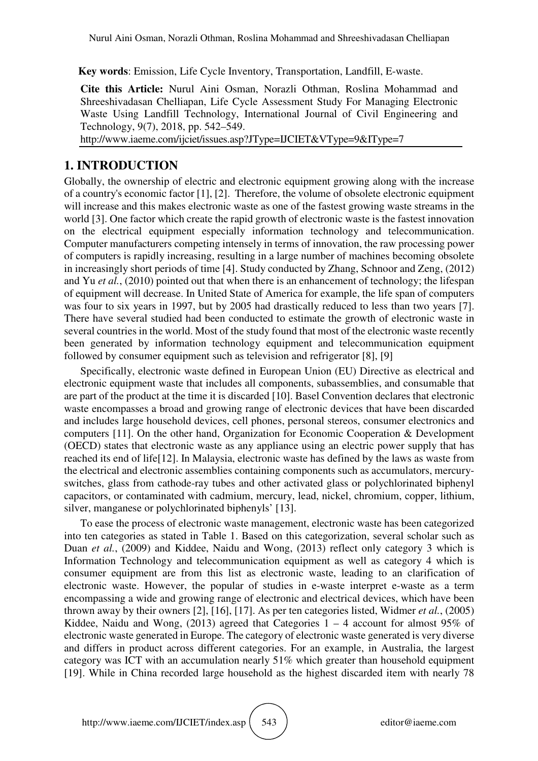**Key words**: Emission, Life Cycle Inventory, Transportation, Landfill, E-waste.

**Cite this Article:** Nurul Aini Osman, Norazli Othman, Roslina Mohammad and Shreeshivadasan Chelliapan, Life Cycle Assessment Study For Managing Electronic Waste Using Landfill Technology, International Journal of Civil Engineering and Technology, 9(7), 2018, pp. 542–549.

http://www.iaeme.com/ijciet/issues.asp?JType=IJCIET&VType=9&IType=7

### **1. INTRODUCTION**

Globally, the ownership of electric and electronic equipment growing along with the increase of a country's economic factor [1], [2]. Therefore, the volume of obsolete electronic equipment will increase and this makes electronic waste as one of the fastest growing waste streams in the world [3]. One factor which create the rapid growth of electronic waste is the fastest innovation on the electrical equipment especially information technology and telecommunication. Computer manufacturers competing intensely in terms of innovation, the raw processing power of computers is rapidly increasing, resulting in a large number of machines becoming obsolete in increasingly short periods of time [4]. Study conducted by Zhang, Schnoor and Zeng, (2012) and Yu *et al.*, (2010) pointed out that when there is an enhancement of technology; the lifespan of equipment will decrease. In United State of America for example, the life span of computers was four to six years in 1997, but by 2005 had drastically reduced to less than two years [7]. There have several studied had been conducted to estimate the growth of electronic waste in several countries in the world. Most of the study found that most of the electronic waste recently been generated by information technology equipment and telecommunication equipment followed by consumer equipment such as television and refrigerator [8], [9]

Specifically, electronic waste defined in European Union (EU) Directive as electrical and electronic equipment waste that includes all components, subassemblies, and consumable that are part of the product at the time it is discarded [10]. Basel Convention declares that electronic waste encompasses a broad and growing range of electronic devices that have been discarded and includes large household devices, cell phones, personal stereos, consumer electronics and computers [11]. On the other hand, Organization for Economic Cooperation & Development (OECD) states that electronic waste as any appliance using an electric power supply that has reached its end of life[12]. In Malaysia, electronic waste has defined by the laws as waste from the electrical and electronic assemblies containing components such as accumulators, mercuryswitches, glass from cathode-ray tubes and other activated glass or polychlorinated biphenyl capacitors, or contaminated with cadmium, mercury, lead, nickel, chromium, copper, lithium, silver, manganese or polychlorinated biphenyls' [13].

To ease the process of electronic waste management, electronic waste has been categorized into ten categories as stated in Table 1. Based on this categorization, several scholar such as Duan *et al.*, (2009) and Kiddee, Naidu and Wong, (2013) reflect only category 3 which is Information Technology and telecommunication equipment as well as category 4 which is consumer equipment are from this list as electronic waste, leading to an clarification of electronic waste. However, the popular of studies in e-waste interpret e-waste as a term encompassing a wide and growing range of electronic and electrical devices, which have been thrown away by their owners [2], [16], [17]. As per ten categories listed, Widmer *et al.*, (2005) Kiddee, Naidu and Wong,  $(2013)$  agreed that Categories 1 – 4 account for almost 95% of electronic waste generated in Europe. The category of electronic waste generated is very diverse and differs in product across different categories. For an example, in Australia, the largest category was ICT with an accumulation nearly 51% which greater than household equipment [19]. While in China recorded large household as the highest discarded item with nearly 78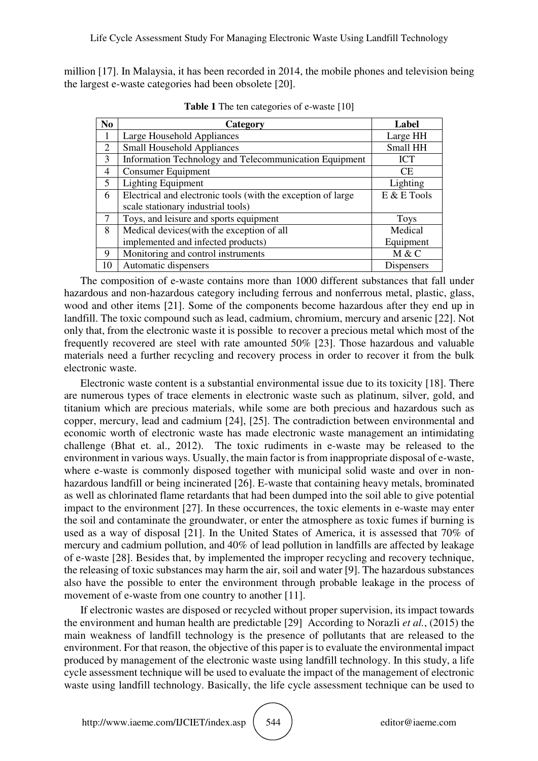million [17]. In Malaysia, it has been recorded in 2014, the mobile phones and television being the largest e-waste categories had been obsolete [20].

| N <sub>0</sub> | Category                                                     | Label         |
|----------------|--------------------------------------------------------------|---------------|
| 1              | Large Household Appliances                                   | Large HH      |
| $\overline{2}$ | <b>Small Household Appliances</b>                            | Small HH      |
| 3              | Information Technology and Telecommunication Equipment       | <b>ICT</b>    |
| 4              | <b>Consumer Equipment</b>                                    | <b>CE</b>     |
| 5              | <b>Lighting Equipment</b>                                    | Lighting      |
| 6              | Electrical and electronic tools (with the exception of large | $E & E$ Tools |
|                | scale stationary industrial tools)                           |               |
|                | Toys, and leisure and sports equipment                       | <b>Toys</b>   |
| 8              | Medical devices(with the exception of all                    | Medical       |
|                | implemented and infected products)                           | Equipment     |
| 9              | Monitoring and control instruments                           | M & C         |
| 10             | Automatic dispensers                                         | Dispensers    |

**Table 1** The ten categories of e-waste [10]

The composition of e-waste contains more than 1000 different substances that fall under hazardous and non-hazardous category including ferrous and nonferrous metal, plastic, glass, wood and other items [21]. Some of the components become hazardous after they end up in landfill. The toxic compound such as lead, cadmium, chromium, mercury and arsenic [22]. Not only that, from the electronic waste it is possible to recover a precious metal which most of the frequently recovered are steel with rate amounted 50% [23]. Those hazardous and valuable materials need a further recycling and recovery process in order to recover it from the bulk electronic waste.

Electronic waste content is a substantial environmental issue due to its toxicity [18]. There are numerous types of trace elements in electronic waste such as platinum, silver, gold, and titanium which are precious materials, while some are both precious and hazardous such as copper, mercury, lead and cadmium [24], [25]. The contradiction between environmental and economic worth of electronic waste has made electronic waste management an intimidating challenge (Bhat et. al., 2012). The toxic rudiments in e-waste may be released to the environment in various ways. Usually, the main factor is from inappropriate disposal of e-waste, where e-waste is commonly disposed together with municipal solid waste and over in nonhazardous landfill or being incinerated [26]. E-waste that containing heavy metals, brominated as well as chlorinated flame retardants that had been dumped into the soil able to give potential impact to the environment [27]. In these occurrences, the toxic elements in e-waste may enter the soil and contaminate the groundwater, or enter the atmosphere as toxic fumes if burning is used as a way of disposal [21]. In the United States of America, it is assessed that 70% of mercury and cadmium pollution, and 40% of lead pollution in landfills are affected by leakage of e-waste [28]. Besides that, by implemented the improper recycling and recovery technique, the releasing of toxic substances may harm the air, soil and water [9]. The hazardous substances also have the possible to enter the environment through probable leakage in the process of movement of e-waste from one country to another [11].

If electronic wastes are disposed or recycled without proper supervision, its impact towards the environment and human health are predictable [29] According to Norazli *et al.*, (2015) the main weakness of landfill technology is the presence of pollutants that are released to the environment. For that reason, the objective of this paper is to evaluate the environmental impact produced by management of the electronic waste using landfill technology. In this study, a life cycle assessment technique will be used to evaluate the impact of the management of electronic waste using landfill technology. Basically, the life cycle assessment technique can be used to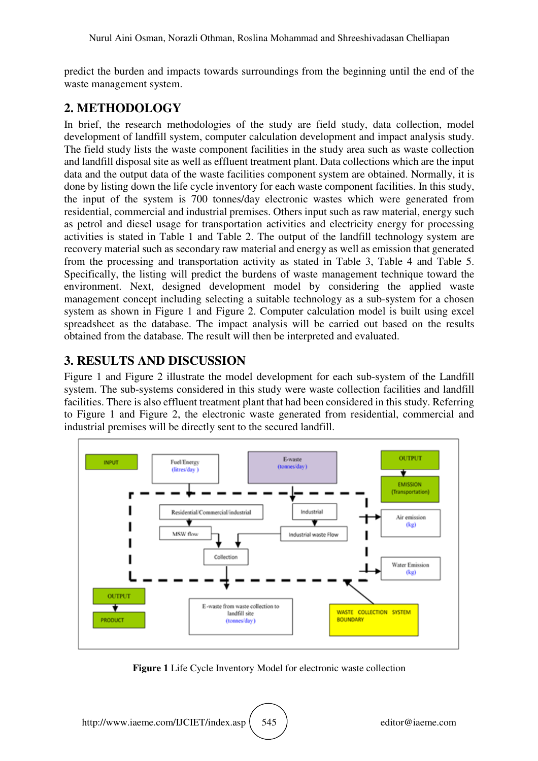predict the burden and impacts towards surroundings from the beginning until the end of the waste management system.

## **2. METHODOLOGY**

In brief, the research methodologies of the study are field study, data collection, model development of landfill system, computer calculation development and impact analysis study. The field study lists the waste component facilities in the study area such as waste collection and landfill disposal site as well as effluent treatment plant. Data collections which are the input data and the output data of the waste facilities component system are obtained. Normally, it is done by listing down the life cycle inventory for each waste component facilities. In this study, the input of the system is 700 tonnes/day electronic wastes which were generated from residential, commercial and industrial premises. Others input such as raw material, energy such as petrol and diesel usage for transportation activities and electricity energy for processing activities is stated in Table 1 and Table 2. The output of the landfill technology system are recovery material such as secondary raw material and energy as well as emission that generated from the processing and transportation activity as stated in Table 3, Table 4 and Table 5. Specifically, the listing will predict the burdens of waste management technique toward the environment. Next, designed development model by considering the applied waste management concept including selecting a suitable technology as a sub-system for a chosen system as shown in Figure 1 and Figure 2. Computer calculation model is built using excel spreadsheet as the database. The impact analysis will be carried out based on the results obtained from the database. The result will then be interpreted and evaluated.

# **3. RESULTS AND DISCUSSION**

Figure 1 and Figure 2 illustrate the model development for each sub-system of the Landfill system. The sub-systems considered in this study were waste collection facilities and landfill facilities. There is also effluent treatment plant that had been considered in this study. Referring to Figure 1 and Figure 2, the electronic waste generated from residential, commercial and industrial premises will be directly sent to the secured landfill.



**Figure 1** Life Cycle Inventory Model for electronic waste collection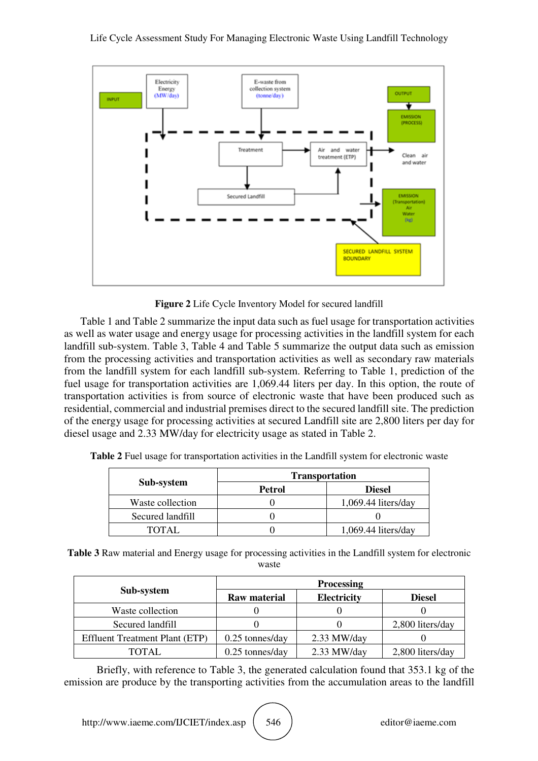

**Figure 2** Life Cycle Inventory Model for secured landfill

Table 1 and Table 2 summarize the input data such as fuel usage for transportation activities as well as water usage and energy usage for processing activities in the landfill system for each landfill sub-system. Table 3, Table 4 and Table 5 summarize the output data such as emission from the processing activities and transportation activities as well as secondary raw materials from the landfill system for each landfill sub-system. Referring to Table 1, prediction of the fuel usage for transportation activities are 1,069.44 liters per day. In this option, the route of transportation activities is from source of electronic waste that have been produced such as residential, commercial and industrial premises direct to the secured landfill site. The prediction of the energy usage for processing activities at secured Landfill site are 2,800 liters per day for diesel usage and 2.33 MW/day for electricity usage as stated in Table 2.

|                  | <b>Transportation</b> |                       |  |
|------------------|-----------------------|-----------------------|--|
| Sub-system       | Petrol                | <b>Diesel</b>         |  |
| Waste collection |                       | $1,069.44$ liters/day |  |
| Secured landfill |                       |                       |  |
| TOTAL.           |                       | $1,069.44$ liters/day |  |

**Table 2** Fuel usage for transportation activities in the Landfill system for electronic waste

| Table 3 Raw material and Energy usage for processing activities in the Landfill system for electronic |
|-------------------------------------------------------------------------------------------------------|
| waste                                                                                                 |

|                                       | <b>Processing</b>   |                    |                  |
|---------------------------------------|---------------------|--------------------|------------------|
| Sub-system                            | <b>Raw material</b> | <b>Electricity</b> | <b>Diesel</b>    |
| Waste collection                      |                     |                    |                  |
| Secured landfill                      |                     |                    | 2,800 liters/day |
| <b>Effluent Treatment Plant (ETP)</b> | $0.25$ tonnes/day   | $2.33$ MW/day      |                  |
| TOTAL                                 | $0.25$ tonnes/day   | $2.33$ MW/day      | 2,800 liters/day |

Briefly, with reference to Table 3, the generated calculation found that 353.1 kg of the emission are produce by the transporting activities from the accumulation areas to the landfill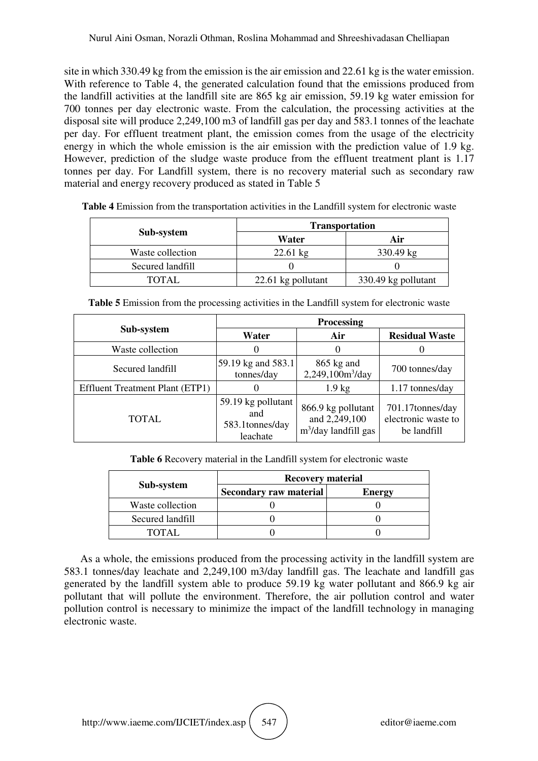site in which 330.49 kg from the emission is the air emission and 22.61 kg is the water emission. With reference to Table 4, the generated calculation found that the emissions produced from the landfill activities at the landfill site are 865 kg air emission, 59.19 kg water emission for 700 tonnes per day electronic waste. From the calculation, the processing activities at the disposal site will produce 2,249,100 m3 of landfill gas per day and 583.1 tonnes of the leachate per day. For effluent treatment plant, the emission comes from the usage of the electricity energy in which the whole emission is the air emission with the prediction value of 1.9 kg. However, prediction of the sludge waste produce from the effluent treatment plant is 1.17 tonnes per day. For Landfill system, there is no recovery material such as secondary raw material and energy recovery produced as stated in Table 5

|                  | <b>Transportation</b> |                     |  |
|------------------|-----------------------|---------------------|--|
| Sub-system       | Water                 | Air                 |  |
| Waste collection | $22.61 \text{ kg}$    | $330.49 \text{ kg}$ |  |
| Secured landfill |                       |                     |  |
| TOTAL            | 22.61 kg pollutant    | 330.49 kg pollutant |  |

**Table 4** Emission from the transportation activities in the Landfill system for electronic waste

|                                        | <b>Processing</b>                                         |                                                                         |                                                        |
|----------------------------------------|-----------------------------------------------------------|-------------------------------------------------------------------------|--------------------------------------------------------|
| Sub-system                             | Water                                                     | Air                                                                     | <b>Residual Waste</b>                                  |
| Waste collection                       |                                                           | $\theta$                                                                |                                                        |
| Secured landfill                       | 59.19 kg and 583.1<br>tonnes/day                          | $865$ kg and<br>2,249,100m <sup>3</sup> /day                            | 700 tonnes/day                                         |
| <b>Effluent Treatment Plant (ETP1)</b> |                                                           | $1.9 \text{ kg}$                                                        | 1.17 tonnes/day                                        |
| TOTAL                                  | 59.19 kg pollutant<br>and<br>583.1 tonnes/day<br>leachate | 866.9 kg pollutant<br>and 2,249,100<br>m <sup>3</sup> /day landfill gas | 701.17tonnes/day<br>electronic waste to<br>be landfill |

**Table 5** Emission from the processing activities in the Landfill system for electronic waste

**Table 6** Recovery material in the Landfill system for electronic waste

|                  | <b>Recovery material</b>      |               |
|------------------|-------------------------------|---------------|
| Sub-system       | <b>Secondary raw material</b> | <b>Energy</b> |
| Waste collection |                               |               |
| Secured landfill |                               |               |
| TOTAL.           |                               |               |

As a whole, the emissions produced from the processing activity in the landfill system are 583.1 tonnes/day leachate and 2,249,100 m3/day landfill gas. The leachate and landfill gas generated by the landfill system able to produce 59.19 kg water pollutant and 866.9 kg air pollutant that will pollute the environment. Therefore, the air pollution control and water pollution control is necessary to minimize the impact of the landfill technology in managing electronic waste.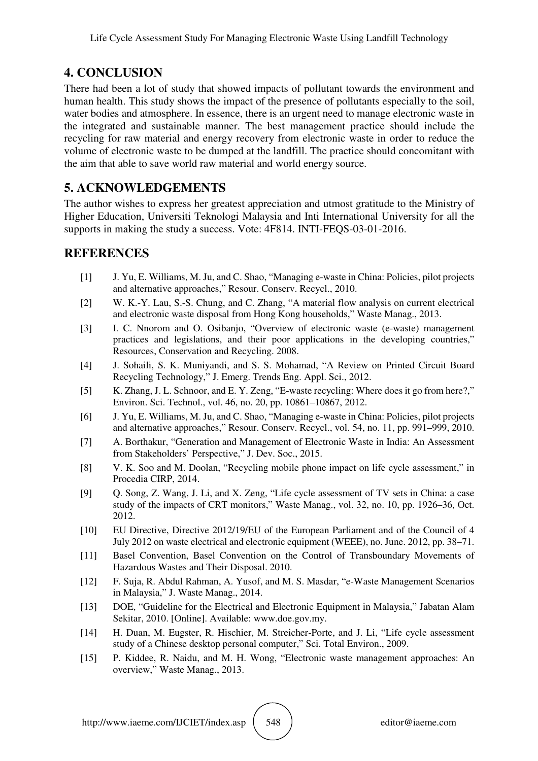## **4. CONCLUSION**

There had been a lot of study that showed impacts of pollutant towards the environment and human health. This study shows the impact of the presence of pollutants especially to the soil, water bodies and atmosphere. In essence, there is an urgent need to manage electronic waste in the integrated and sustainable manner. The best management practice should include the recycling for raw material and energy recovery from electronic waste in order to reduce the volume of electronic waste to be dumped at the landfill. The practice should concomitant with the aim that able to save world raw material and world energy source.

## **5. ACKNOWLEDGEMENTS**

The author wishes to express her greatest appreciation and utmost gratitude to the Ministry of Higher Education, Universiti Teknologi Malaysia and Inti International University for all the supports in making the study a success. Vote: 4F814. INTI-FEQS-03-01-2016.

### **REFERENCES**

- [1] J. Yu, E. Williams, M. Ju, and C. Shao, "Managing e-waste in China: Policies, pilot projects and alternative approaches," Resour. Conserv. Recycl., 2010.
- [2] W. K.-Y. Lau, S.-S. Chung, and C. Zhang, "A material flow analysis on current electrical and electronic waste disposal from Hong Kong households," Waste Manag., 2013.
- [3] I. C. Nnorom and O. Osibanjo, "Overview of electronic waste (e-waste) management practices and legislations, and their poor applications in the developing countries," Resources, Conservation and Recycling. 2008.
- [4] J. Sohaili, S. K. Muniyandi, and S. S. Mohamad, "A Review on Printed Circuit Board Recycling Technology," J. Emerg. Trends Eng. Appl. Sci., 2012.
- [5] K. Zhang, J. L. Schnoor, and E. Y. Zeng, "E-waste recycling: Where does it go from here?," Environ. Sci. Technol., vol. 46, no. 20, pp. 10861–10867, 2012.
- [6] J. Yu, E. Williams, M. Ju, and C. Shao, "Managing e-waste in China: Policies, pilot projects and alternative approaches," Resour. Conserv. Recycl., vol. 54, no. 11, pp. 991–999, 2010.
- [7] A. Borthakur, "Generation and Management of Electronic Waste in India: An Assessment from Stakeholders' Perspective," J. Dev. Soc., 2015.
- [8] V. K. Soo and M. Doolan, "Recycling mobile phone impact on life cycle assessment," in Procedia CIRP, 2014.
- [9] Q. Song, Z. Wang, J. Li, and X. Zeng, "Life cycle assessment of TV sets in China: a case study of the impacts of CRT monitors," Waste Manag., vol. 32, no. 10, pp. 1926–36, Oct. 2012.
- [10] EU Directive, Directive 2012/19/EU of the European Parliament and of the Council of 4 July 2012 on waste electrical and electronic equipment (WEEE), no. June. 2012, pp. 38–71.
- [11] Basel Convention, Basel Convention on the Control of Transboundary Movements of Hazardous Wastes and Their Disposal. 2010.
- [12] F. Suja, R. Abdul Rahman, A. Yusof, and M. S. Masdar, "e-Waste Management Scenarios in Malaysia," J. Waste Manag., 2014.
- [13] DOE, "Guideline for the Electrical and Electronic Equipment in Malaysia," Jabatan Alam Sekitar, 2010. [Online]. Available: www.doe.gov.my.
- [14] H. Duan, M. Eugster, R. Hischier, M. Streicher-Porte, and J. Li, "Life cycle assessment study of a Chinese desktop personal computer," Sci. Total Environ., 2009.
- [15] P. Kiddee, R. Naidu, and M. H. Wong, "Electronic waste management approaches: An overview," Waste Manag., 2013.